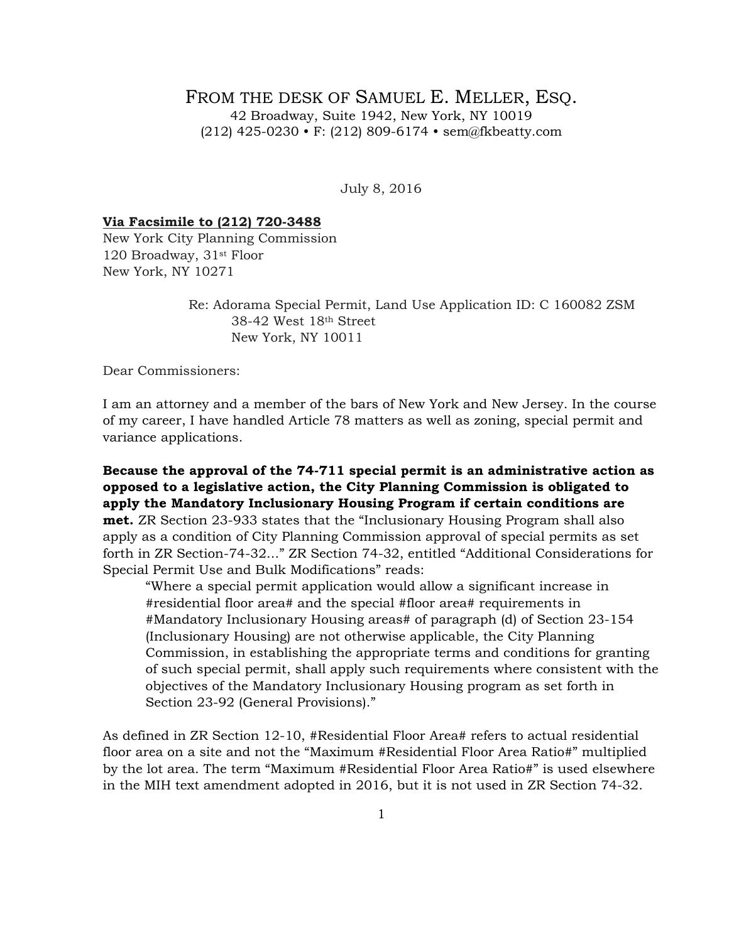## FROM THE DESK OF SAMUEL E. MELLER, ESO. 42 Broadway, Suite 1942, New York, NY 10019 (212) 425-0230 • F: (212) 809-6174 • sem@fkbeatty.com

July 8, 2016

## **Via Facsimile to (212) 720-3488**

New York City Planning Commission 120 Broadway, 31st Floor New York, NY 10271

Special Permit Use and Bulk Modifications" reads:

Re: Adorama Special Permit, Land Use Application ID: C 160082 ZSM 38-42 West 18th Street New York, NY 10011

Dear Commissioners:

I am an attorney and a member of the bars of New York and New Jersey. In the course of my career, I have handled Article 78 matters as well as zoning, special permit and variance applications.

**Because the approval of the 74-711 special permit is an administrative action as opposed to a legislative action, the City Planning Commission is obligated to apply the Mandatory Inclusionary Housing Program if certain conditions are met.** ZR Section 23-933 states that the "Inclusionary Housing Program shall also apply as a condition of City Planning Commission approval of special permits as set forth in ZR Section-74-32..." ZR Section 74-32, entitled "Additional Considerations for

"Where a special permit application would allow a significant increase in #residential floor area# and the special #floor area# requirements in #Mandatory Inclusionary Housing areas# of paragraph (d) of Section 23-154 (Inclusionary Housing) are not otherwise applicable, the City Planning Commission, in establishing the appropriate terms and conditions for granting of such special permit, shall apply such requirements where consistent with the objectives of the Mandatory Inclusionary Housing program as set forth in Section 23-92 (General Provisions)."

As defined in ZR Section 12-10, #Residential Floor Area# refers to actual residential floor area on a site and not the "Maximum #Residential Floor Area Ratio#" multiplied by the lot area. The term "Maximum #Residential Floor Area Ratio#" is used elsewhere in the MIH text amendment adopted in 2016, but it is not used in ZR Section 74-32.